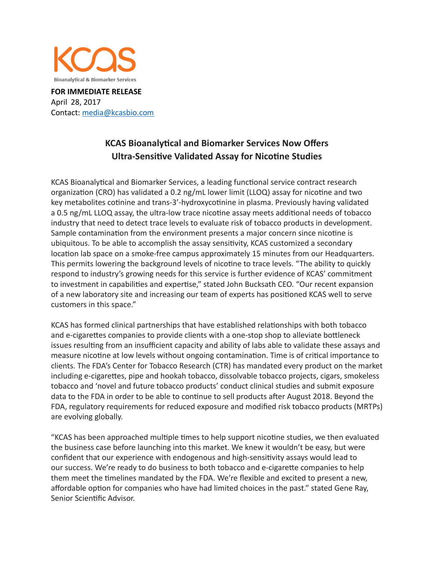

**FOR IMMEDIATE RELEASE**  April 28, 2017 Contact: media@kcasbio.com

## **KCAS Bioanalytical and Biomarker Services Now Offers Ultra-Sensitive Validated Assay for Nicotine Studies**

KCAS Bioanalytical and Biomarker Services, a leading functional service contract research organization (CRO) has validated a 0.2 ng/mL lower limit (LLOQ) assay for nicotine and two key metabolites cotinine and trans-3'-hydroxycotinine in plasma. Previously having validated a 0.5 ng/mL LLOQ assay, the ultra-low trace nicotine assay meets additional needs of tobacco industry that need to detect trace levels to evaluate risk of tobacco products in development. Sample contamination from the environment presents a major concern since nicotine is ubiquitous. To be able to accomplish the assay sensitivity, KCAS customized a secondary location lab space on a smoke-free campus approximately 15 minutes from our Headquarters. This permits lowering the background levels of nicotine to trace levels. "The ability to quickly respond to industry's growing needs for this service is further evidence of KCAS' commitment to investment in capabilities and expertise," stated John Bucksath CEO. "Our recent expansion of a new laboratory site and increasing our team of experts has positioned KCAS well to serve customers in this space."

KCAS has formed clinical partnerships that have established relationships with both tobacco and e-cigarettes companies to provide clients with a one-stop shop to alleviate bottleneck issues resulting from an insufficient capacity and ability of labs able to validate these assays and measure nicotine at low levels without ongoing contamination. Time is of critical importance to clients. The FDA's Center for Tobacco Research (CTR) has mandated every product on the market including e-cigarettes, pipe and hookah tobacco, dissolvable tobacco projects, cigars, smokeless tobacco and 'novel and future tobacco products' conduct clinical studies and submit exposure data to the FDA in order to be able to continue to sell products after August 2018. Beyond the FDA, regulatory requirements for reduced exposure and modified risk tobacco products (MRTPs) are evolving globally.

"KCAS has been approached multiple times to help support nicotine studies, we then evaluated the business case before launching into this market. We knew it wouldn't be easy, but were confident that our experience with endogenous and high-sensitivity assays would lead to our success. We're ready to do business to both tobacco and e-cigarette companies to help them meet the timelines mandated by the FDA. We're flexible and excited to present a new, affordable option for companies who have had limited choices in the past." stated Gene Ray, Senior Scientific Advisor.